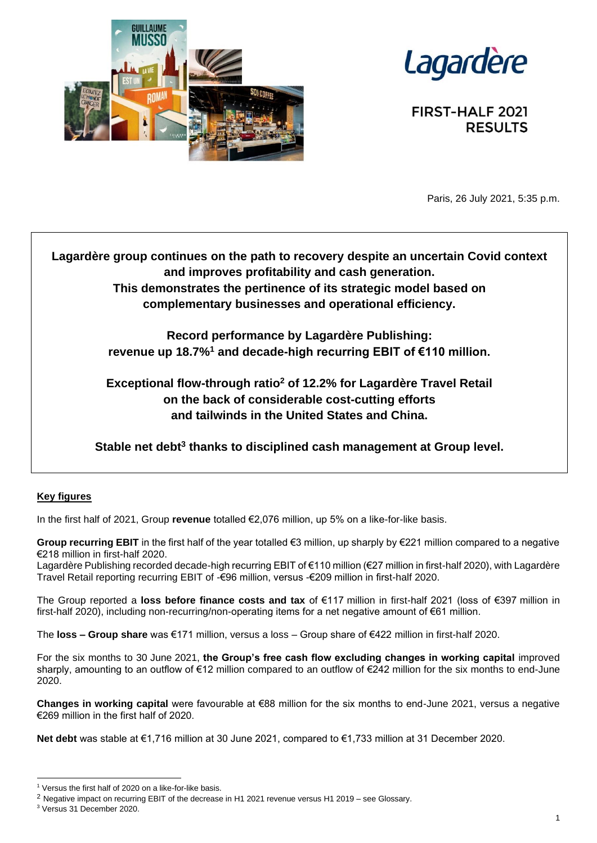



**FIRST-HALF 2021 RESULTS** 

Paris, 26 July 2021, 5:35 p.m.

**Lagardère group continues on the path to recovery despite an uncertain Covid context and improves profitability and cash generation. This demonstrates the pertinence of its strategic model based on complementary businesses and operational efficiency.**

> **Record performance by Lagardère Publishing: revenue up 18.7%<sup>1</sup> and decade-high recurring EBIT of €110 million.**

> **Exceptional flow-through ratio<sup>2</sup> of 12.2% for Lagardère Travel Retail on the back of considerable cost-cutting efforts and tailwinds in the United States and China.**

Stable net debt<sup>3</sup> thanks to disciplined cash management at Group level.

## **Key figures**

In the first half of 2021, Group **revenue** totalled €2,076 million, up 5% on a like-for-like basis.

**Group recurring EBIT** in the first half of the year totalled €3 million, up sharply by €221 million compared to a negative €218 million in first-half 2020.

Lagardère Publishing recorded decade-high recurring EBIT of €110 million (€27 million in first-half 2020), with Lagardère Travel Retail reporting recurring EBIT of -€96 million, versus -€209 million in first-half 2020.

The Group reported a **loss before finance costs and tax** of €117 million in first-half 2021 (loss of €397 million in first-half 2020), including non-recurring/non-operating items for a net negative amount of €61 million.

The **loss – Group share** was €171 million, versus a loss – Group share of €422 million in first-half 2020.

For the six months to 30 June 2021, **the Group's free cash flow excluding changes in working capital** improved sharply, amounting to an outflow of €12 million compared to an outflow of €242 million for the six months to end-June 2020.

**Changes in working capital** were favourable at €88 million for the six months to end-June 2021, versus a negative €269 million in the first half of 2020.

**Net debt** was stable at €1,716 million at 30 June 2021, compared to €1,733 million at 31 December 2020.

Versus the first half of 2020 on a like-for-like basis.

<sup>&</sup>lt;sup>2</sup> Negative impact on recurring EBIT of the decrease in H1 2021 revenue versus H1 2019 – see Glossary.

<sup>3</sup> Versus 31 December 2020.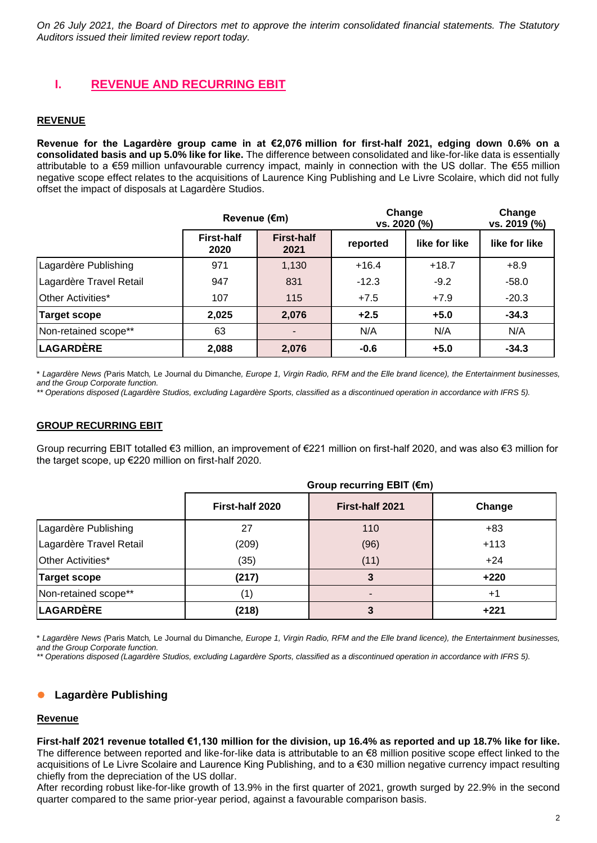*On 26 July 2021, the Board of Directors met to approve the interim consolidated financial statements. The Statutory Auditors issued their limited review report today.*

## **I. REVENUE AND RECURRING EBIT**

#### **REVENUE**

**Revenue for the Lagardère group came in at €2,076 million for first-half 2021, edging down 0.6% on a consolidated basis and up 5.0% like for like.** The difference between consolidated and like-for-like data is essentially attributable to a €59 million unfavourable currency impact, mainly in connection with the US dollar. The €55 million negative scope effect relates to the acquisitions of Laurence King Publishing and Le Livre Scolaire, which did not fully offset the impact of disposals at Lagardère Studios.

|                         | Revenue (€m)              |                           | Change<br>vs. 2020 (%) |               | Change<br>vs. 2019 (%) |  |
|-------------------------|---------------------------|---------------------------|------------------------|---------------|------------------------|--|
|                         | <b>First-half</b><br>2020 | <b>First-half</b><br>2021 | reported               | like for like | like for like          |  |
| Lagardère Publishing    | 971                       | 1,130                     | $+16.4$                | $+18.7$       | $+8.9$                 |  |
| Lagardère Travel Retail | 947                       | 831                       | $-12.3$                | $-9.2$        | $-58.0$                |  |
| Other Activities*       | 107                       | 115                       | $+7.5$                 | $+7.9$        | $-20.3$                |  |
| <b>Target scope</b>     | 2,025                     | 2,076                     | $+2.5$                 | $+5.0$        | $-34.3$                |  |
| Non-retained scope**    | 63                        |                           | N/A                    | N/A           | N/A                    |  |
| <b>LAGARDÈRE</b>        | 2,088                     | 2,076                     | $-0.6$                 | $+5.0$        | $-34.3$                |  |

\* *Lagardère News (*Paris Match*,* Le Journal du Dimanche*, Europe 1, Virgin Radio, RFM and the Elle brand licence), the Entertainment businesses, and the Group Corporate function.*

*\*\* Operations disposed (Lagardère Studios, excluding Lagardère Sports, classified as a discontinued operation in accordance with IFRS 5).*

#### **GROUP RECURRING EBIT**

Group recurring EBIT totalled €3 million, an improvement of €221 million on first-half 2020, and was also €3 million for the target scope, up €220 million on first-half 2020.

|                         | Group recurring EBIT (€m) |                 |        |
|-------------------------|---------------------------|-----------------|--------|
|                         | First-half 2020           | First-half 2021 | Change |
| Lagardère Publishing    | 27                        | 110             | $+83$  |
| Lagardère Travel Retail | (209)                     | (96)            | $+113$ |
| Other Activities*       | (35)                      | (11)            | $+24$  |
| <b>Target scope</b>     | (217)                     | 3               | $+220$ |
| Non-retained scope**    | $\left( 1\right)$         |                 | $+1$   |
| <b>LAGARDÈRE</b>        | (218)                     | 3               | $+221$ |

\* *Lagardère News (*Paris Match*,* Le Journal du Dimanche*, Europe 1, Virgin Radio, RFM and the Elle brand licence), the Entertainment businesses, and the Group Corporate function.*

*\*\* Operations disposed (Lagardère Studios, excluding Lagardère Sports, classified as a discontinued operation in accordance with IFRS 5).*

#### ⚫ **Lagardère Publishing**

#### **Revenue**

**First-half 2021 revenue totalled €1,130 million for the division, up 16.4% as reported and up 18.7% like for like.**  The difference between reported and like-for-like data is attributable to an €8 million positive scope effect linked to the acquisitions of Le Livre Scolaire and Laurence King Publishing, and to a €30 million negative currency impact resulting chiefly from the depreciation of the US dollar.

After recording robust like-for-like growth of 13.9% in the first quarter of 2021, growth surged by 22.9% in the second quarter compared to the same prior-year period, against a favourable comparison basis.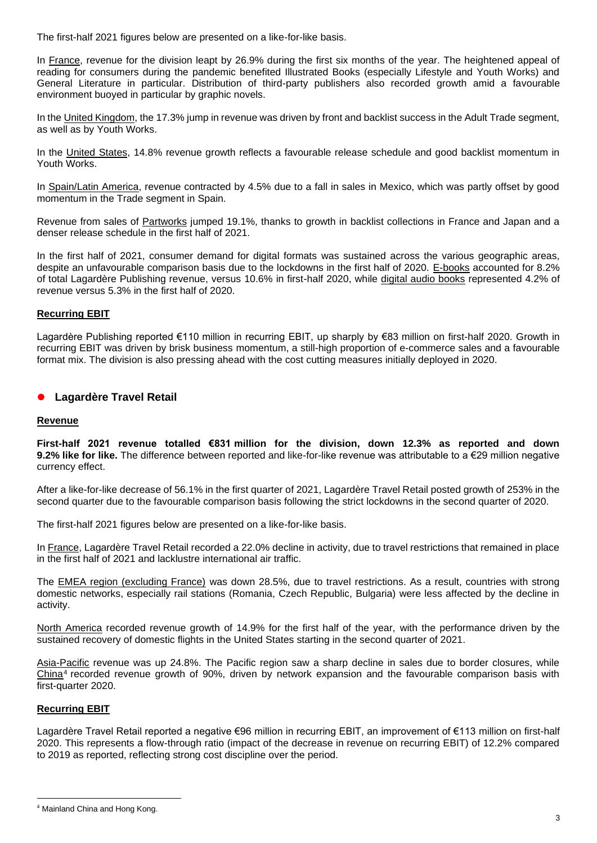The first-half 2021 figures below are presented on a like-for-like basis.

In France, revenue for the division leapt by 26.9% during the first six months of the year. The heightened appeal of reading for consumers during the pandemic benefited Illustrated Books (especially Lifestyle and Youth Works) and General Literature in particular. Distribution of third-party publishers also recorded growth amid a favourable environment buoyed in particular by graphic novels.

In the United Kingdom, the 17.3% jump in revenue was driven by front and backlist success in the Adult Trade segment, as well as by Youth Works.

In the United States, 14.8% revenue growth reflects a favourable release schedule and good backlist momentum in Youth Works.

In Spain/Latin America, revenue contracted by 4.5% due to a fall in sales in Mexico, which was partly offset by good momentum in the Trade segment in Spain.

Revenue from sales of Partworks jumped 19.1%, thanks to growth in backlist collections in France and Japan and a denser release schedule in the first half of 2021.

In the first half of 2021, consumer demand for digital formats was sustained across the various geographic areas, despite an unfavourable comparison basis due to the lockdowns in the first half of 2020. E-books accounted for 8.2% of total Lagardère Publishing revenue, versus 10.6% in first-half 2020, while digital audio books represented 4.2% of revenue versus 5.3% in the first half of 2020.

### **Recurring EBIT**

Lagardère Publishing reported €110 million in recurring EBIT, up sharply by €83 million on first-half 2020. Growth in recurring EBIT was driven by brisk business momentum, a still-high proportion of e-commerce sales and a favourable format mix. The division is also pressing ahead with the cost cutting measures initially deployed in 2020.

## ⚫ **Lagardère Travel Retail**

#### **Revenue**

**First-half 2021 revenue totalled €831 million for the division, down 12.3% as reported and down 9.2% like for like.** The difference between reported and like-for-like revenue was attributable to a €29 million negative currency effect.

After a like-for-like decrease of 56.1% in the first quarter of 2021, Lagardère Travel Retail posted growth of 253% in the second quarter due to the favourable comparison basis following the strict lockdowns in the second quarter of 2020.

The first-half 2021 figures below are presented on a like-for-like basis.

In France, Lagardère Travel Retail recorded a 22.0% decline in activity, due to travel restrictions that remained in place in the first half of 2021 and lacklustre international air traffic.

The EMEA region (excluding France) was down 28.5%, due to travel restrictions. As a result, countries with strong domestic networks, especially rail stations (Romania, Czech Republic, Bulgaria) were less affected by the decline in activity.

North America recorded revenue growth of 14.9% for the first half of the year, with the performance driven by the sustained recovery of domestic flights in the United States starting in the second quarter of 2021.

Asia-Pacific revenue was up 24.8%. The Pacific region saw a sharp decline in sales due to border closures, while China<sup>4</sup> recorded revenue growth of 90%, driven by network expansion and the favourable comparison basis with first-quarter 2020.

#### **Recurring EBIT**

Lagardère Travel Retail reported a negative €96 million in recurring EBIT, an improvement of €113 million on first-half 2020. This represents a flow-through ratio (impact of the decrease in revenue on recurring EBIT) of 12.2% compared to 2019 as reported, reflecting strong cost discipline over the period.

<sup>4</sup> Mainland China and Hong Kong.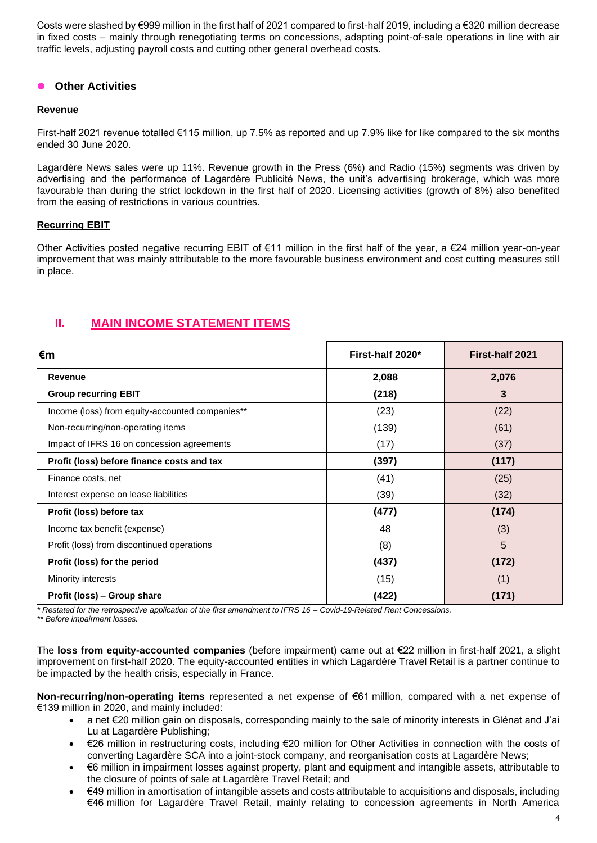Costs were slashed by €999 million in the first half of 2021 compared to first-half 2019, including a €320 million decrease in fixed costs – mainly through renegotiating terms on concessions, adapting point-of-sale operations in line with air traffic levels, adjusting payroll costs and cutting other general overhead costs.

## ⚫ **Other Activities**

### **Revenue**

First-half 2021 revenue totalled €115 million, up 7.5% as reported and up 7.9% like for like compared to the six months ended 30 June 2020.

Lagardère News sales were up 11%. Revenue growth in the Press (6%) and Radio (15%) segments was driven by advertising and the performance of Lagardère Publicité News, the unit's advertising brokerage, which was more favourable than during the strict lockdown in the first half of 2020. Licensing activities (growth of 8%) also benefited from the easing of restrictions in various countries.

### **Recurring EBIT**

Other Activities posted negative recurring EBIT of €11 million in the first half of the year, a €24 million year-on-year improvement that was mainly attributable to the more favourable business environment and cost cutting measures still in place.

## **II. MAIN INCOME STATEMENT ITEMS**

| €m                                              | First-half 2020* | First-half 2021 |
|-------------------------------------------------|------------------|-----------------|
| Revenue                                         | 2,088            | 2,076           |
| <b>Group recurring EBIT</b>                     | (218)            | 3               |
| Income (loss) from equity-accounted companies** | (23)             | (22)            |
| Non-recurring/non-operating items               | (139)            | (61)            |
| Impact of IFRS 16 on concession agreements      | (17)             | (37)            |
| Profit (loss) before finance costs and tax      | (397)            | (117)           |
| Finance costs, net                              | (41)             | (25)            |
| Interest expense on lease liabilities           | (39)             | (32)            |
| Profit (loss) before tax                        | (477)            | (174)           |
| Income tax benefit (expense)                    | 48               | (3)             |
| Profit (loss) from discontinued operations      | (8)              | 5               |
| Profit (loss) for the period                    | (437)            | (172)           |
| Minority interests                              | (15)             | (1)             |
| Profit (loss) - Group share                     | (422)            | (171)           |

*\* Restated for the retrospective application of the first amendment to IFRS 16 – Covid-19-Related Rent Concessions.*

*\*\* Before impairment losses.*

The **loss from equity-accounted companies** (before impairment) came out at €22 million in first-half 2021, a slight improvement on first-half 2020. The equity-accounted entities in which Lagardère Travel Retail is a partner continue to be impacted by the health crisis, especially in France.

**Non-recurring/non-operating items** represented a net expense of €61 million, compared with a net expense of €139 million in 2020, and mainly included:

- a net €20 million gain on disposals, corresponding mainly to the sale of minority interests in Glénat and J'ai Lu at Lagardère Publishing;
- €26 million in restructuring costs, including €20 million for Other Activities in connection with the costs of converting Lagardère SCA into a joint-stock company, and reorganisation costs at Lagardère News;
- €6 million in impairment losses against property, plant and equipment and intangible assets, attributable to the closure of points of sale at Lagardère Travel Retail; and
- €49 million in amortisation of intangible assets and costs attributable to acquisitions and disposals, including €46 million for Lagardère Travel Retail, mainly relating to concession agreements in North America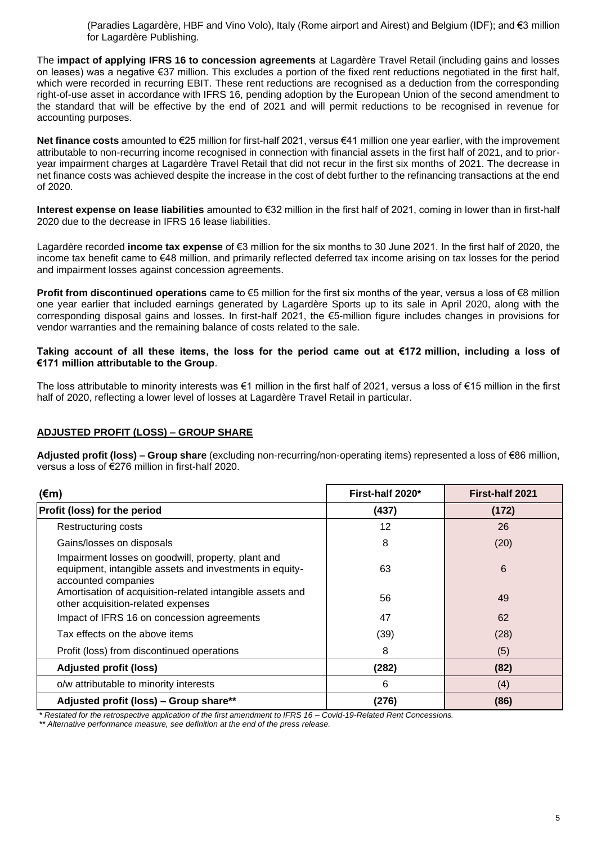(Paradies Lagardère, HBF and Vino Volo), Italy (Rome airport and Airest) and Belgium (IDF); and €3 million for Lagardère Publishing.

The **impact of applying IFRS 16 to concession agreements** at Lagardère Travel Retail (including gains and losses on leases) was a negative €37 million. This excludes a portion of the fixed rent reductions negotiated in the first half, which were recorded in recurring EBIT. These rent reductions are recognised as a deduction from the corresponding right-of-use asset in accordance with IFRS 16, pending adoption by the European Union of the second amendment to the standard that will be effective by the end of 2021 and will permit reductions to be recognised in revenue for accounting purposes.

**Net finance costs** amounted to €25 million for first-half 2021, versus €41 million one year earlier, with the improvement attributable to non-recurring income recognised in connection with financial assets in the first half of 2021, and to prioryear impairment charges at Lagardère Travel Retail that did not recur in the first six months of 2021. The decrease in net finance costs was achieved despite the increase in the cost of debt further to the refinancing transactions at the end of 2020.

**Interest expense on lease liabilities** amounted to €32 million in the first half of 2021, coming in lower than in first-half 2020 due to the decrease in IFRS 16 lease liabilities.

Lagardère recorded **income tax expense** of €3 million for the six months to 30 June 2021. In the first half of 2020, the income tax benefit came to €48 million, and primarily reflected deferred tax income arising on tax losses for the period and impairment losses against concession agreements.

**Profit from discontinued operations** came to €5 million for the first six months of the year, versus a loss of €8 million one year earlier that included earnings generated by Lagardère Sports up to its sale in April 2020, along with the corresponding disposal gains and losses. In first-half 2021, the €5-million figure includes changes in provisions for vendor warranties and the remaining balance of costs related to the sale.

#### **Taking account of all these items, the loss for the period came out at €172 million, including a loss of €171 million attributable to the Group**.

The loss attributable to minority interests was €1 million in the first half of 2021, versus a loss of €15 million in the first half of 2020, reflecting a lower level of losses at Lagardère Travel Retail in particular.

## **ADJUSTED PROFIT (LOSS) – GROUP SHARE**

**Adjusted profit (loss) – Group share** (excluding non-recurring/non-operating items) represented a loss of €86 million, versus a loss of €276 million in first-half 2020.

| $(\epsilon m)$                                                                                                                       | First-half 2020* | <b>First-half 2021</b> |  |
|--------------------------------------------------------------------------------------------------------------------------------------|------------------|------------------------|--|
| Profit (loss) for the period                                                                                                         | (437)            | (172)                  |  |
| Restructuring costs                                                                                                                  | 12               | 26                     |  |
| Gains/losses on disposals                                                                                                            | 8                | (20)                   |  |
| Impairment losses on goodwill, property, plant and<br>equipment, intangible assets and investments in equity-<br>accounted companies | 63               | 6                      |  |
| Amortisation of acquisition-related intangible assets and<br>other acquisition-related expenses                                      | 56               | 49                     |  |
| Impact of IFRS 16 on concession agreements                                                                                           | 47               | 62                     |  |
| Tax effects on the above items                                                                                                       | (39)             | (28)                   |  |
| Profit (loss) from discontinued operations                                                                                           | 8                | (5)                    |  |
| <b>Adjusted profit (loss)</b>                                                                                                        | (282)            | (82)                   |  |
| o/w attributable to minority interests                                                                                               | 6                | (4)                    |  |
| Adjusted profit (loss) - Group share**                                                                                               | (276)            | (86)                   |  |

*\* Restated for the retrospective application of the first amendment to IFRS 16 – Covid-19-Related Rent Concessions.*

*\*\* Alternative performance measure, see definition at the end of the press release.*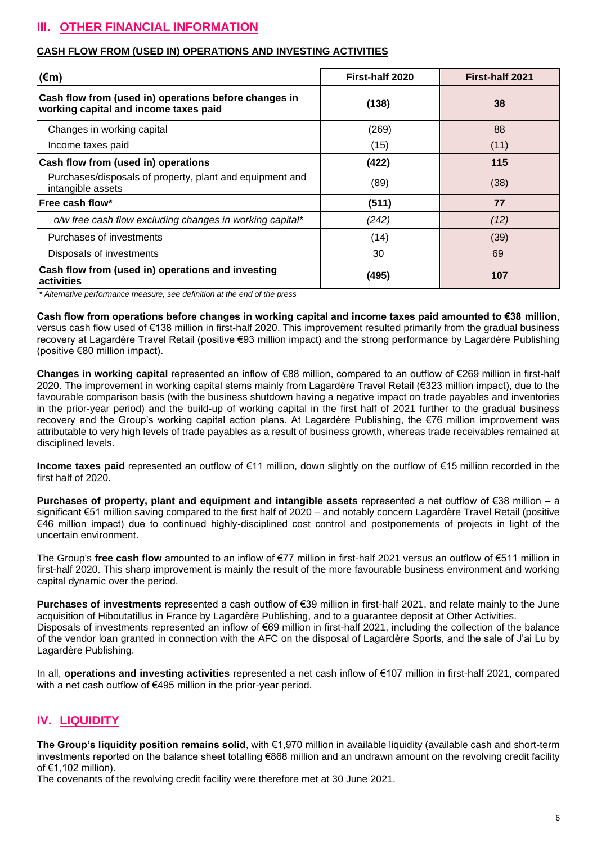# **III. OTHER FINANCIAL INFORMATION**

## **CASH FLOW FROM (USED IN) OPERATIONS AND INVESTING ACTIVITIES**

| (€m)                                                                                           | First-half 2020 | First-half 2021 |
|------------------------------------------------------------------------------------------------|-----------------|-----------------|
| Cash flow from (used in) operations before changes in<br>working capital and income taxes paid | (138)           | 38              |
| Changes in working capital                                                                     | (269)           | 88              |
| Income taxes paid                                                                              | (15)            | (11)            |
| Cash flow from (used in) operations                                                            | (422)           | 115             |
| Purchases/disposals of property, plant and equipment and<br>intangible assets                  | (89)            | (38)            |
| lFree cash flow*                                                                               | (511)           | 77              |
| o/w free cash flow excluding changes in working capital*                                       | (242)           | (12)            |
| Purchases of investments                                                                       | (14)            | (39)            |
| Disposals of investments                                                                       | 30              | 69              |
| Cash flow from (used in) operations and investing<br>activities                                | (495)           | 107             |

*\* Alternative performance measure, see definition at the end of the press* 

**Cash flow from operations before changes in working capital and income taxes paid amounted to €38 million**, versus cash flow used of €138 million in first-half 2020. This improvement resulted primarily from the gradual business recovery at Lagardère Travel Retail (positive €93 million impact) and the strong performance by Lagardère Publishing (positive €80 million impact).

**Changes in working capital** represented an inflow of €88 million, compared to an outflow of €269 million in first-half 2020. The improvement in working capital stems mainly from Lagardère Travel Retail (€323 million impact), due to the favourable comparison basis (with the business shutdown having a negative impact on trade payables and inventories in the prior-year period) and the build-up of working capital in the first half of 2021 further to the gradual business recovery and the Group's working capital action plans. At Lagardère Publishing, the €76 million improvement was attributable to very high levels of trade payables as a result of business growth, whereas trade receivables remained at disciplined levels.

**Income taxes paid** represented an outflow of €11 million, down slightly on the outflow of €15 million recorded in the first half of 2020.

**Purchases of property, plant and equipment and intangible assets** represented a net outflow of €38 million – a significant €51 million saving compared to the first half of 2020 – and notably concern Lagardère Travel Retail (positive €46 million impact) due to continued highly-disciplined cost control and postponements of projects in light of the uncertain environment.

The Group's **free cash flow** amounted to an inflow of €77 million in first-half 2021 versus an outflow of €511 million in first-half 2020. This sharp improvement is mainly the result of the more favourable business environment and working capital dynamic over the period.

**Purchases of investments** represented a cash outflow of €39 million in first-half 2021, and relate mainly to the June acquisition of Hiboutatillus in France by Lagardère Publishing, and to a guarantee deposit at Other Activities. Disposals of investments represented an inflow of €69 million in first-half 2021, including the collection of the balance of the vendor loan granted in connection with the AFC on the disposal of Lagardère Sports, and the sale of J'ai Lu by Lagardère Publishing.

In all, **operations and investing activities** represented a net cash inflow of €107 million in first-half 2021, compared with a net cash outflow of €495 million in the prior-year period.

## **IV. LIQUIDITY**

**The Group's liquidity position remains solid**, with €1,970 million in available liquidity (available cash and short-term investments reported on the balance sheet totalling €868 million and an undrawn amount on the revolving credit facility of €1,102 million).

The covenants of the revolving credit facility were therefore met at 30 June 2021.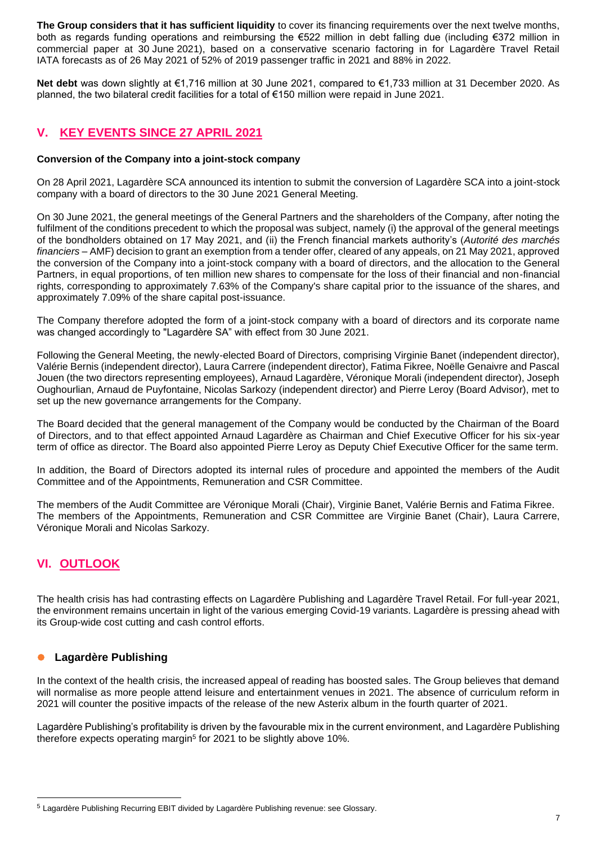**The Group considers that it has sufficient liquidity** to cover its financing requirements over the next twelve months, both as regards funding operations and reimbursing the €522 million in debt falling due (including €372 million in commercial paper at 30 June 2021), based on a conservative scenario factoring in for Lagardère Travel Retail IATA forecasts as of 26 May 2021 of 52% of 2019 passenger traffic in 2021 and 88% in 2022.

**Net debt** was down slightly at €1,716 million at 30 June 2021, compared to €1,733 million at 31 December 2020. As planned, the two bilateral credit facilities for a total of €150 million were repaid in June 2021.

## **V. KEY EVENTS SINCE 27 APRIL 2021**

#### **Conversion of the Company into a joint-stock company**

On 28 April 2021, Lagardère SCA announced its intention to submit the conversion of Lagardère SCA into a joint-stock company with a board of directors to the 30 June 2021 General Meeting.

On 30 June 2021, the general meetings of the General Partners and the shareholders of the Company, after noting the fulfilment of the conditions precedent to which the proposal was subject, namely (i) the approval of the general meetings of the bondholders obtained on 17 May 2021, and (ii) the French financial markets authority's (*Autorité des marchés financiers* – AMF) decision to grant an exemption from a tender offer, cleared of any appeals, on 21 May 2021, approved the conversion of the Company into a joint-stock company with a board of directors, and the allocation to the General Partners, in equal proportions, of ten million new shares to compensate for the loss of their financial and non-financial rights, corresponding to approximately 7.63% of the Company's share capital prior to the issuance of the shares, and approximately 7.09% of the share capital post-issuance.

The Company therefore adopted the form of a joint-stock company with a board of directors and its corporate name was changed accordingly to "Lagardère SA" with effect from 30 June 2021.

Following the General Meeting, the newly-elected Board of Directors, comprising Virginie Banet (independent director), Valérie Bernis (independent director), Laura Carrere (independent director), Fatima Fikree, Noëlle Genaivre and Pascal Jouen (the two directors representing employees), Arnaud Lagardère, Véronique Morali (independent director), Joseph Oughourlian, Arnaud de Puyfontaine, Nicolas Sarkozy (independent director) and Pierre Leroy (Board Advisor), met to set up the new governance arrangements for the Company.

The Board decided that the general management of the Company would be conducted by the Chairman of the Board of Directors, and to that effect appointed Arnaud Lagardère as Chairman and Chief Executive Officer for his six-year term of office as director. The Board also appointed Pierre Leroy as Deputy Chief Executive Officer for the same term.

In addition, the Board of Directors adopted its internal rules of procedure and appointed the members of the Audit Committee and of the Appointments, Remuneration and CSR Committee.

The members of the Audit Committee are Véronique Morali (Chair), Virginie Banet, Valérie Bernis and Fatima Fikree. The members of the Appointments, Remuneration and CSR Committee are Virginie Banet (Chair), Laura Carrere, Véronique Morali and Nicolas Sarkozy.

## **VI. OUTLOOK**

The health crisis has had contrasting effects on Lagardère Publishing and Lagardère Travel Retail. For full-year 2021, the environment remains uncertain in light of the various emerging Covid-19 variants. Lagardère is pressing ahead with its Group-wide cost cutting and cash control efforts.

## ⚫ **Lagardère Publishing**

In the context of the health crisis, the increased appeal of reading has boosted sales. The Group believes that demand will normalise as more people attend leisure and entertainment venues in 2021. The absence of curriculum reform in 2021 will counter the positive impacts of the release of the new Asterix album in the fourth quarter of 2021.

Lagardère Publishing's profitability is driven by the favourable mix in the current environment, and Lagardère Publishing therefore expects operating margin<sup>5</sup> for 2021 to be slightly above 10%.

<sup>5</sup> Lagardère Publishing Recurring EBIT divided by Lagardère Publishing revenue: see Glossary.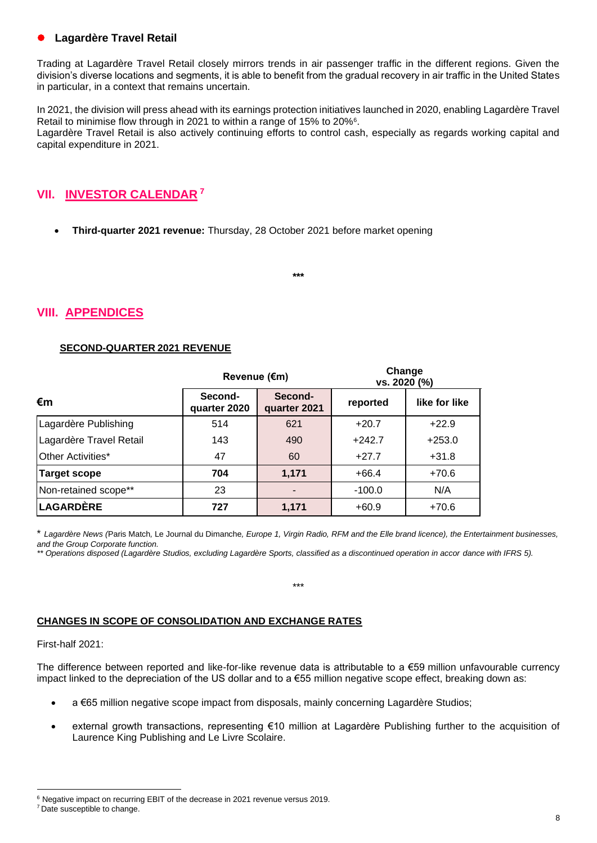## ⚫ **Lagardère Travel Retail**

Trading at Lagardère Travel Retail closely mirrors trends in air passenger traffic in the different regions. Given the division's diverse locations and segments, it is able to benefit from the gradual recovery in air traffic in the United States in particular, in a context that remains uncertain.

In 2021, the division will press ahead with its earnings protection initiatives launched in 2020, enabling Lagardère Travel Retail to minimise flow through in 2021 to within a range of 15% to 20%<sup>6</sup> . Lagardère Travel Retail is also actively continuing efforts to control cash, especially as regards working capital and capital expenditure in 2021.

# **VII. INVESTOR CALENDAR <sup>7</sup>**

• **Third-quarter 2021 revenue:** Thursday, 28 October 2021 before market opening

**\*\*\***

## **VIII. APPENDICES**

### **SECOND-QUARTER 2021 REVENUE**

|                         | Revenue (€m)            |                         | Change<br>vs. 2020 (%) |               |  |
|-------------------------|-------------------------|-------------------------|------------------------|---------------|--|
| $\epsilon$ m            | Second-<br>quarter 2020 | Second-<br>quarter 2021 | reported               | like for like |  |
| Lagardère Publishing    | 514                     | 621                     | $+20.7$                | $+22.9$       |  |
| Lagardère Travel Retail | 143                     | 490                     | $+242.7$               | $+253.0$      |  |
| Other Activities*       | 47                      | 60                      | $+27.7$                | $+31.8$       |  |
| <b>Target scope</b>     | 704                     | 1,171                   | $+66.4$                | $+70.6$       |  |
| Non-retained scope**    | 23                      |                         | $-100.0$               | N/A           |  |
| LAGARDÈRE               | 727                     | 1,171                   | $+60.9$                | $+70.6$       |  |

\* *Lagardère News (*Paris Match*,* Le Journal du Dimanche*, Europe 1, Virgin Radio, RFM and the Elle brand licence), the Entertainment businesses, and the Group Corporate function.*

\*\*\*

*\*\* Operations disposed (Lagardère Studios, excluding Lagardère Sports, classified as a discontinued operation in accor dance with IFRS 5).*

## **CHANGES IN SCOPE OF CONSOLIDATION AND EXCHANGE RATES**

#### First-half 2021:

The difference between reported and like-for-like revenue data is attributable to a  $\epsilon$ 59 million unfavourable currency impact linked to the depreciation of the US dollar and to a €55 million negative scope effect, breaking down as:

- a €65 million negative scope impact from disposals, mainly concerning Lagardère Studios;
- external growth transactions, representing €10 million at Lagardère Publishing further to the acquisition of Laurence King Publishing and Le Livre Scolaire.

<sup>6</sup> Negative impact on recurring EBIT of the decrease in 2021 revenue versus 2019.

<sup>&</sup>lt;sup>7</sup> Date susceptible to change.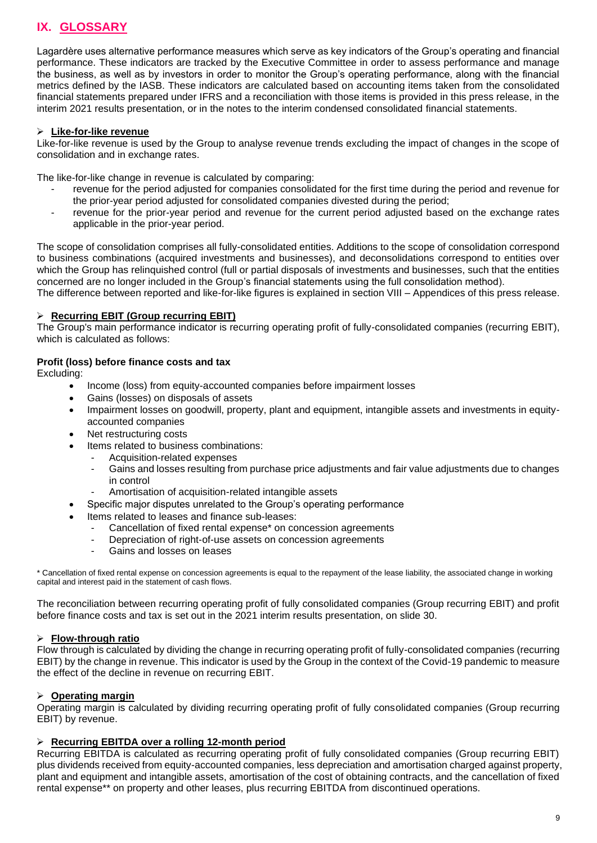# **IX. GLOSSARY**

Lagardère uses alternative performance measures which serve as key indicators of the Group's operating and financial performance. These indicators are tracked by the Executive Committee in order to assess performance and manage the business, as well as by investors in order to monitor the Group's operating performance, along with the financial metrics defined by the IASB. These indicators are calculated based on accounting items taken from the consolidated financial statements prepared under IFRS and a reconciliation with those items is provided in this press release, in the interim 2021 results presentation, or in the notes to the interim condensed consolidated financial statements.

#### ➢ **Like-for-like revenue**

Like-for-like revenue is used by the Group to analyse revenue trends excluding the impact of changes in the scope of consolidation and in exchange rates.

The like-for-like change in revenue is calculated by comparing:

- revenue for the period adjusted for companies consolidated for the first time during the period and revenue for the prior-year period adjusted for consolidated companies divested during the period;
- revenue for the prior-year period and revenue for the current period adjusted based on the exchange rates applicable in the prior-year period.

The scope of consolidation comprises all fully-consolidated entities. Additions to the scope of consolidation correspond to business combinations (acquired investments and businesses), and deconsolidations correspond to entities over which the Group has relinquished control (full or partial disposals of investments and businesses, such that the entities concerned are no longer included in the Group's financial statements using the full consolidation method).

The difference between reported and like-for-like figures is explained in section VIII – Appendices of this press release.

#### ➢ **Recurring EBIT (Group recurring EBIT)**

The Group's main performance indicator is recurring operating profit of fully-consolidated companies (recurring EBIT), which is calculated as follows:

### **Profit (loss) before finance costs and tax**

Excluding:

- Income (loss) from equity-accounted companies before impairment losses
- Gains (losses) on disposals of assets
- Impairment losses on goodwill, property, plant and equipment, intangible assets and investments in equityaccounted companies
- Net restructuring costs
- Items related to business combinations:
	- Acquisition-related expenses
	- Gains and losses resulting from purchase price adjustments and fair value adjustments due to changes in control
	- Amortisation of acquisition-related intangible assets
	- Specific major disputes unrelated to the Group's operating performance
- Items related to leases and finance sub-leases:
	- Cancellation of fixed rental expense\* on concession agreements
	- Depreciation of right-of-use assets on concession agreements
	- Gains and losses on leases

\* Cancellation of fixed rental expense on concession agreements is equal to the repayment of the lease liability, the associated change in working capital and interest paid in the statement of cash flows.

The reconciliation between recurring operating profit of fully consolidated companies (Group recurring EBIT) and profit before finance costs and tax is set out in the 2021 interim results presentation, on slide 30.

## ➢ **Flow-through ratio**

Flow through is calculated by dividing the change in recurring operating profit of fully-consolidated companies (recurring EBIT) by the change in revenue. This indicator is used by the Group in the context of the Covid-19 pandemic to measure the effect of the decline in revenue on recurring EBIT.

## ➢ **Operating margin**

Operating margin is calculated by dividing recurring operating profit of fully consolidated companies (Group recurring EBIT) by revenue.

#### ➢ **Recurring EBITDA over a rolling 12-month period**

Recurring EBITDA is calculated as recurring operating profit of fully consolidated companies (Group recurring EBIT) plus dividends received from equity-accounted companies, less depreciation and amortisation charged against property, plant and equipment and intangible assets, amortisation of the cost of obtaining contracts, and the cancellation of fixed rental expense\*\* on property and other leases, plus recurring EBITDA from discontinued operations.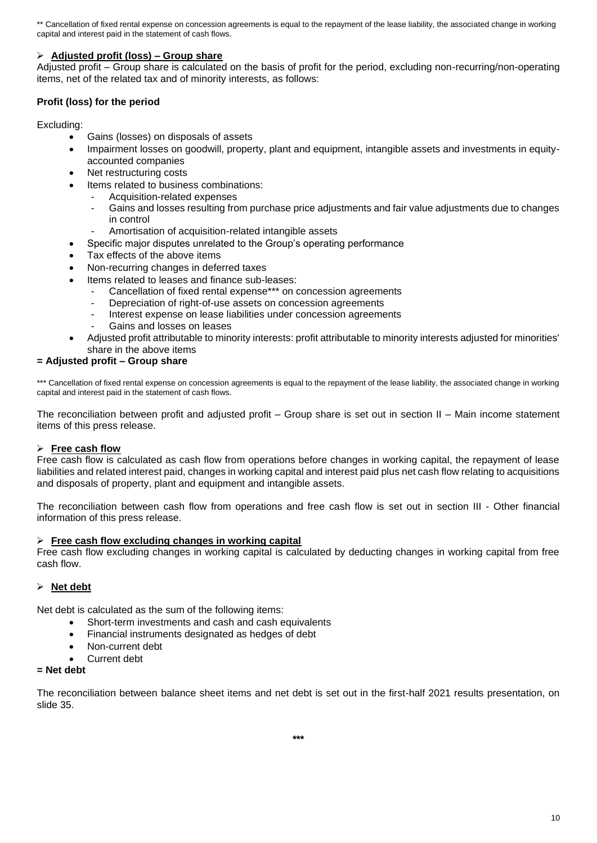\*\* Cancellation of fixed rental expense on concession agreements is equal to the repayment of the lease liability, the associated change in working capital and interest paid in the statement of cash flows.

### ➢ **Adjusted profit (loss) – Group share**

Adjusted profit – Group share is calculated on the basis of profit for the period, excluding non-recurring/non-operating items, net of the related tax and of minority interests, as follows:

## **Profit (loss) for the period**

#### Excluding:

- Gains (losses) on disposals of assets
	- Impairment losses on goodwill, property, plant and equipment, intangible assets and investments in equityaccounted companies
	- Net restructuring costs
	- Items related to business combinations:
		- Acquisition-related expenses
		- Gains and losses resulting from purchase price adjustments and fair value adjustments due to changes in control
		- Amortisation of acquisition-related intangible assets
	- Specific major disputes unrelated to the Group's operating performance
	- Tax effects of the above items
	- Non-recurring changes in deferred taxes
	- Items related to leases and finance sub-leases:
		- Cancellation of fixed rental expense\*\*\* on concession agreements
		- Depreciation of right-of-use assets on concession agreements
		- Interest expense on lease liabilities under concession agreements
		- Gains and losses on leases
	- Adjusted profit attributable to minority interests: profit attributable to minority interests adjusted for minorities' share in the above items

#### **= Adjusted profit – Group share**

\*\*\* Cancellation of fixed rental expense on concession agreements is equal to the repayment of the lease liability, the associated change in working capital and interest paid in the statement of cash flows.

The reconciliation between profit and adjusted profit – Group share is set out in section II – Main income statement items of this press release.

#### ➢ **Free cash flow**

Free cash flow is calculated as cash flow from operations before changes in working capital, the repayment of lease liabilities and related interest paid, changes in working capital and interest paid plus net cash flow relating to acquisitions and disposals of property, plant and equipment and intangible assets.

The reconciliation between cash flow from operations and free cash flow is set out in section III - Other financial information of this press release.

#### ➢ **Free cash flow excluding changes in working capital**

Free cash flow excluding changes in working capital is calculated by deducting changes in working capital from free cash flow.

#### ➢ **Net debt**

Net debt is calculated as the sum of the following items:

- Short-term investments and cash and cash equivalents
- Financial instruments designated as hedges of debt
- Non-current debt
- Current debt

#### **= Net debt**

The reconciliation between balance sheet items and net debt is set out in the first-half 2021 results presentation, on slide 35.